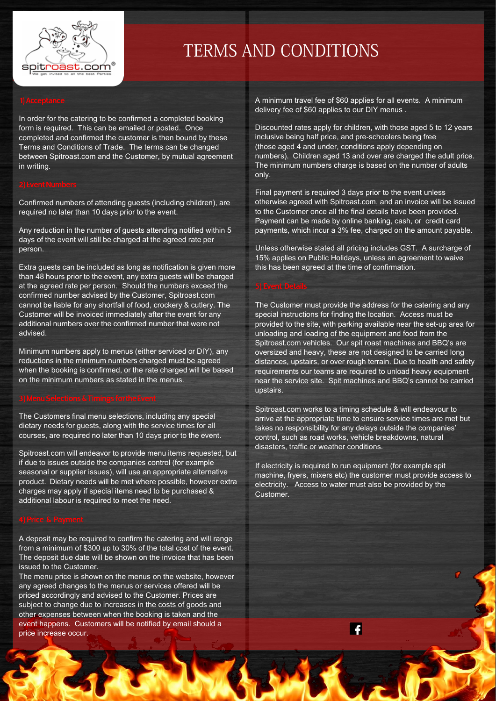

# TERMS AND CONDITIONS

In order for the catering to be confirmed a completed booking form is required. This can be emailed or posted. Once completed and confirmed the customer is then bound by these Terms and Conditions of Trade. The terms can be changed between Spitroast.com and the Customer, by mutual agreement in writing.

Confirmed numbers of attending guests (including children), are required no later than 10 days prior to the event.

Any reduction in the number of guests attending notified within 5 days of the event will still be charged at the agreed rate per person.

Extra guests can be included as long as notification is given more than 48 hours prior to the event, any extra guests will be charged at the agreed rate per person. Should the numbers exceed the confirmed number advised by the Customer, Spitroast.com cannot be liable for any shortfall of food, crockery & cutlery. The Customer will be invoiced immediately after the event for any additional numbers over the confirmed number that were not advised.

Minimum numbers apply to menus (either serviced or DIY), any reductions in the minimum numbers charged must be agreed when the booking is confirmed, or the rate charged will be based on the minimum numbers as stated in the menus.

The Customers final menu selections, including any special dietary needs for guests, along with the service times for all courses, are required no later than 10 days prior to the event.

Spitroast.com will endeavor to provide menu items requested, but if due to issues outside the companies control (for example seasonal or supplier issues), will use an appropriate alternative product. Dietary needs will be met where possible, however extra charges may apply if special items need to be purchased & additional labour is required to meet the need.

A deposit may be required to confirm the catering and will range from a minimum of \$300 up to 30% of the total cost of the event. The deposit due date will be shown on the invoice that has been issued to the Customer.

The menu price is shown on the menus on the website, however any agreed changes to the menus or services offered will be priced accordingly and advised to the Customer. Prices are subject to change due to increases in the costs of goods and other expenses between when the booking is taken and the event happens. Customers will be notified by email should a price increase occur.

A minimum travel fee of \$60 applies for all events. A minimum delivery fee of \$60 applies to our DIY menus .

Discounted rates apply for children, with those aged 5 to 12 years inclusive being half price, and pre-schoolers being free (those aged 4 and under, conditions apply depending on numbers). Children aged 13 and over are charged the adult price. The minimum numbers charge is based on the number of adults only.

Final payment is required 3 days prior to the event unless otherwise agreed with Spitroast.com, and an invoice will be issued to the Customer once all the final details have been provided. Payment can be made by online banking, cash, or credit card payments, which incur a 3% fee, charged on the amount payable.

Unless otherwise stated all pricing includes GST. A surcharge of 15% applies on Public Holidays, unless an agreement to waive this has been agreed at the time of confirmation.

### 5) Event Details

The Customer must provide the address for the catering and any special instructions for finding the location. Access must be provided to the site, with parking available near the set-up area for unloading and loading of the equipment and food from the Spitroast.com vehicles. Our spit roast machines and BBQ's are oversized and heavy, these are not designed to be carried long distances, upstairs, or over rough terrain. Due to health and safety requirements our teams are required to unload heavy equipment near the service site. Spit machines and BBQ's cannot be carried upstairs.

Spitroast.com works to a timing schedule & will endeavour to arrive at the appropriate time to ensure service times are met but takes no responsibility for any delays outside the companies' control, such as road works, vehicle breakdowns, natural disasters, traffic or weather conditions.

If electricity is required to run equipment (for example spit machine, fryers, mixers etc) the customer must provide access to electricity. Access to water must also be provided by the Customer.

 $\ddot{\bullet}$